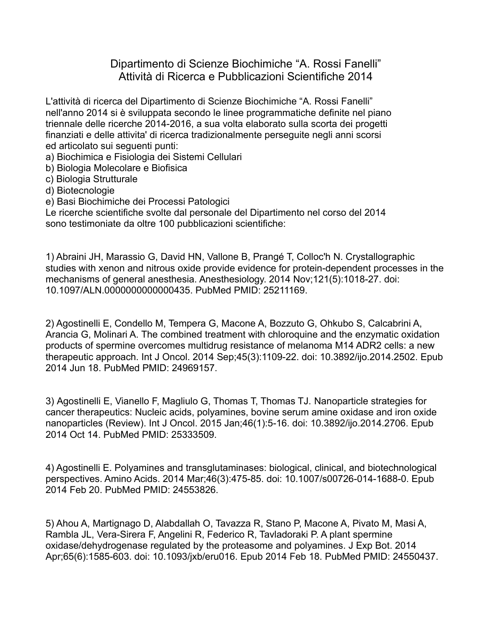Dipartimento di Scienze Biochimiche "A. Rossi Fanelli" Attività di Ricerca e Pubblicazioni Scientifiche 2014

L'attività di ricerca del Dipartimento di Scienze Biochimiche "A. Rossi Fanelli" nell'anno 2014 si è sviluppata secondo le linee programmatiche definite nel piano triennale delle ricerche 2014-2016, a sua volta elaborato sulla scorta dei progetti finanziati e delle attivita' di ricerca tradizionalmente perseguite negli anni scorsi ed articolato sui seguenti punti:

a) Biochimica e Fisiologia dei Sistemi Cellulari

b) Biologia Molecolare e Biofisica

c) Biologia Strutturale

d) Biotecnologie

e) Basi Biochimiche dei Processi Patologici

Le ricerche scientifiche svolte dal personale del Dipartimento nel corso del 2014 sono testimoniate da oltre 100 pubblicazioni scientifiche:

1) Abraini JH, Marassio G, David HN, Vallone B, Prangé T, Colloc'h N. Crystallographic studies with xenon and nitrous oxide provide evidence for protein-dependent processes in the mechanisms of general anesthesia. Anesthesiology. 2014 Nov;121(5):1018-27. doi: 10.1097/ALN.0000000000000435. PubMed PMID: 25211169.

2) Agostinelli E, Condello M, Tempera G, Macone A, Bozzuto G, Ohkubo S, Calcabrini A, Arancia G, Molinari A. The combined treatment with chloroquine and the enzymatic oxidation products of spermine overcomes multidrug resistance of melanoma M14 ADR2 cells: a new therapeutic approach. Int J Oncol. 2014 Sep;45(3):1109-22. doi: 10.3892/ijo.2014.2502. Epub 2014 Jun 18. PubMed PMID: 24969157.

3) Agostinelli E, Vianello F, Magliulo G, Thomas T, Thomas TJ. Nanoparticle strategies for cancer therapeutics: Nucleic acids, polyamines, bovine serum amine oxidase and iron oxide nanoparticles (Review). Int J Oncol. 2015 Jan;46(1):5-16. doi: 10.3892/ijo.2014.2706. Epub 2014 Oct 14. PubMed PMID: 25333509.

4) Agostinelli E. Polyamines and transglutaminases: biological, clinical, and biotechnological perspectives. Amino Acids. 2014 Mar;46(3):475-85. doi: 10.1007/s00726-014-1688-0. Epub 2014 Feb 20. PubMed PMID: 24553826.

5) Ahou A, Martignago D, Alabdallah O, Tavazza R, Stano P, Macone A, Pivato M, Masi A, Rambla JL, Vera-Sirera F, Angelini R, Federico R, Tavladoraki P. A plant spermine oxidase/dehydrogenase regulated by the proteasome and polyamines. J Exp Bot. 2014 Apr;65(6):1585-603. doi: 10.1093/jxb/eru016. Epub 2014 Feb 18. PubMed PMID: 24550437.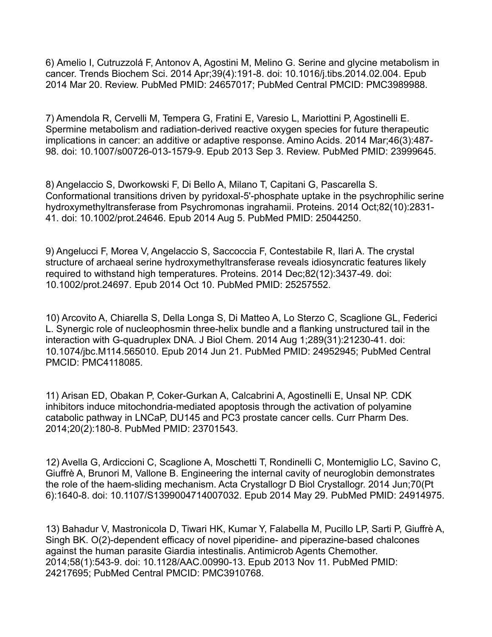6) Amelio I, Cutruzzolá F, Antonov A, Agostini M, Melino G. Serine and glycine metabolism in cancer. Trends Biochem Sci. 2014 Apr;39(4):191-8. doi: 10.1016/j.tibs.2014.02.004. Epub 2014 Mar 20. Review. PubMed PMID: 24657017; PubMed Central PMCID: PMC3989988.

7) Amendola R, Cervelli M, Tempera G, Fratini E, Varesio L, Mariottini P, Agostinelli E. Spermine metabolism and radiation-derived reactive oxygen species for future therapeutic implications in cancer: an additive or adaptive response. Amino Acids. 2014 Mar;46(3):487- 98. doi: 10.1007/s00726-013-1579-9. Epub 2013 Sep 3. Review. PubMed PMID: 23999645.

8) Angelaccio S, Dworkowski F, Di Bello A, Milano T, Capitani G, Pascarella S. Conformational transitions driven by pyridoxal-5'-phosphate uptake in the psychrophilic serine hydroxymethyltransferase from Psychromonas ingrahamii. Proteins. 2014 Oct;82(10):2831- 41. doi: 10.1002/prot.24646. Epub 2014 Aug 5. PubMed PMID: 25044250.

9) Angelucci F, Morea V, Angelaccio S, Saccoccia F, Contestabile R, Ilari A. The crystal structure of archaeal serine hydroxymethyltransferase reveals idiosyncratic features likely required to withstand high temperatures. Proteins. 2014 Dec;82(12):3437-49. doi: 10.1002/prot.24697. Epub 2014 Oct 10. PubMed PMID: 25257552.

10) Arcovito A, Chiarella S, Della Longa S, Di Matteo A, Lo Sterzo C, Scaglione GL, Federici L. Synergic role of nucleophosmin three-helix bundle and a flanking unstructured tail in the interaction with G-quadruplex DNA. J Biol Chem. 2014 Aug 1;289(31):21230-41. doi: 10.1074/jbc.M114.565010. Epub 2014 Jun 21. PubMed PMID: 24952945; PubMed Central PMCID: PMC4118085.

11) Arisan ED, Obakan P, Coker-Gurkan A, Calcabrini A, Agostinelli E, Unsal NP. CDK inhibitors induce mitochondria-mediated apoptosis through the activation of polyamine catabolic pathway in LNCaP, DU145 and PC3 prostate cancer cells. Curr Pharm Des. 2014;20(2):180-8. PubMed PMID: 23701543.

12) Avella G, Ardiccioni C, Scaglione A, Moschetti T, Rondinelli C, Montemiglio LC, Savino C, Giuffrè A, Brunori M, Vallone B. Engineering the internal cavity of neuroglobin demonstrates the role of the haem-sliding mechanism. Acta Crystallogr D Biol Crystallogr. 2014 Jun;70(Pt 6):1640-8. doi: 10.1107/S1399004714007032. Epub 2014 May 29. PubMed PMID: 24914975.

13) Bahadur V, Mastronicola D, Tiwari HK, Kumar Y, Falabella M, Pucillo LP, Sarti P, Giuffrè A, Singh BK. O(2)-dependent efficacy of novel piperidine- and piperazine-based chalcones against the human parasite Giardia intestinalis. Antimicrob Agents Chemother. 2014;58(1):543-9. doi: 10.1128/AAC.00990-13. Epub 2013 Nov 11. PubMed PMID: 24217695; PubMed Central PMCID: PMC3910768.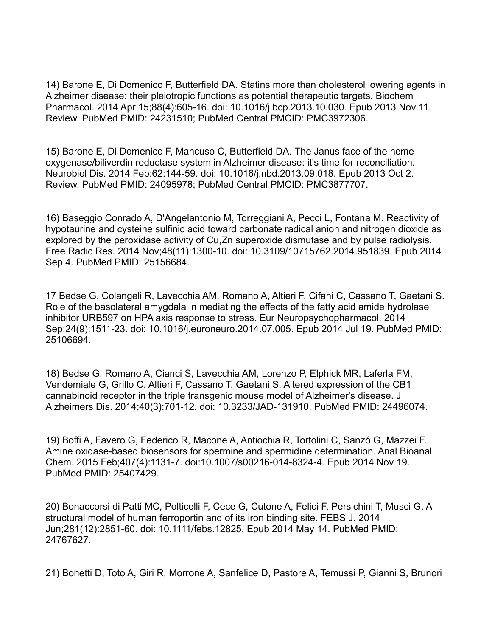14) Barone E, Di Domenico F, Butterfield DA. Statins more than cholesterol lowering agents in Alzheimer disease: their pleiotropic functions as potential therapeutic targets. Biochem Pharmacol. 2014 Apr 15;88(4):605-16. doi: 10.1016/j.bcp.2013.10.030. Epub 2013 Nov 11. Review. PubMed PMID: 24231510; PubMed Central PMCID: PMC3972306.

15) Barone E, Di Domenico F, Mancuso C, Butterfield DA. The Janus face of the heme oxygenase/biliverdin reductase system in Alzheimer disease: it's time for reconciliation. Neurobiol Dis. 2014 Feb;62:144-59. doi: 10.1016/j.nbd.2013.09.018. Epub 2013 Oct 2. Review. PubMed PMID: 24095978; PubMed Central PMCID: PMC3877707.

16) Baseggio Conrado A, D'Angelantonio M, Torreggiani A, Pecci L, Fontana M. Reactivity of hypotaurine and cysteine sulfinic acid toward carbonate radical anion and nitrogen dioxide as explored by the peroxidase activity of Cu,Zn superoxide dismutase and by pulse radiolysis. Free Radic Res. 2014 Nov;48(11):1300-10. doi: 10.3109/10715762.2014.951839. Epub 2014 Sep 4. PubMed PMID: 25156684.

17 Bedse G, Colangeli R, Lavecchia AM, Romano A, Altieri F, Cifani C, Cassano T, Gaetani S. Role of the basolateral amygdala in mediating the effects of the fatty acid amide hydrolase inhibitor URB597 on HPA axis response to stress. Eur Neuropsychopharmacol. 2014 Sep;24(9):1511-23. doi: 10.1016/j.euroneuro.2014.07.005. Epub 2014 Jul 19. PubMed PMID: 25106694.

18) Bedse G, Romano A, Cianci S, Lavecchia AM, Lorenzo P, Elphick MR, Laferla FM, Vendemiale G, Grillo C, Altieri F, Cassano T, Gaetani S. Altered expression of the CB1 cannabinoid receptor in the triple transgenic mouse model of Alzheimer's disease. J Alzheimers Dis. 2014;40(3):701-12. doi: 10.3233/JAD-131910. PubMed PMID: 24496074.

19) Boffi A, Favero G, Federico R, Macone A, Antiochia R, Tortolini C, Sanzó G, Mazzei F. Amine oxidase-based biosensors for spermine and spermidine determination. Anal Bioanal Chem. 2015 Feb;407(4):1131-7. doi:10.1007/s00216-014-8324-4. Epub 2014 Nov 19. PubMed PMID: 25407429.

20) Bonaccorsi di Patti MC, Polticelli F, Cece G, Cutone A, Felici F, Persichini T, Musci G. A structural model of human ferroportin and of its iron binding site. FEBS J. 2014 Jun;281(12):2851-60. doi: 10.1111/febs.12825. Epub 2014 May 14. PubMed PMID: 24767627.

21) Bonetti D, Toto A, Giri R, Morrone A, Sanfelice D, Pastore A, Temussi P, Gianni S, Brunori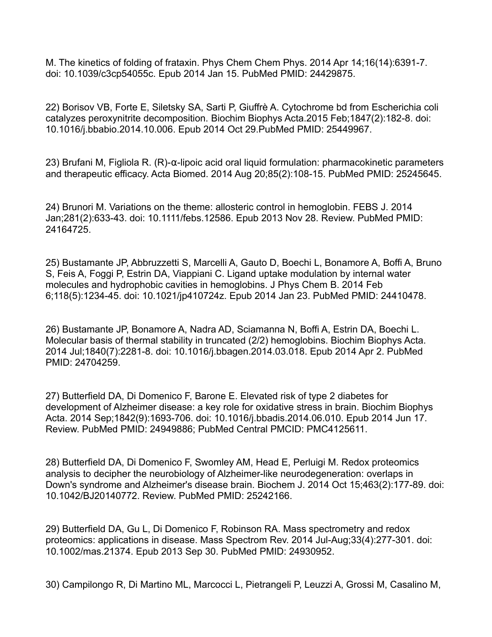M. The kinetics of folding of frataxin. Phys Chem Chem Phys. 2014 Apr 14;16(14):6391-7. doi: 10.1039/c3cp54055c. Epub 2014 Jan 15. PubMed PMID: 24429875.

22) Borisov VB, Forte E, Siletsky SA, Sarti P, Giuffrè A. Cytochrome bd from Escherichia coli catalyzes peroxynitrite decomposition. Biochim Biophys Acta.2015 Feb;1847(2):182-8. doi: 10.1016/j.bbabio.2014.10.006. Epub 2014 Oct 29.PubMed PMID: 25449967.

23) Brufani M, Figliola R. (R)-α-lipoic acid oral liquid formulation: pharmacokinetic parameters and therapeutic efficacy. Acta Biomed. 2014 Aug 20;85(2):108-15. PubMed PMID: 25245645.

24) Brunori M. Variations on the theme: allosteric control in hemoglobin. FEBS J. 2014 Jan;281(2):633-43. doi: 10.1111/febs.12586. Epub 2013 Nov 28. Review. PubMed PMID: 24164725.

25) Bustamante JP, Abbruzzetti S, Marcelli A, Gauto D, Boechi L, Bonamore A, Boffi A, Bruno S, Feis A, Foggi P, Estrin DA, Viappiani C. Ligand uptake modulation by internal water molecules and hydrophobic cavities in hemoglobins. J Phys Chem B. 2014 Feb 6;118(5):1234-45. doi: 10.1021/jp410724z. Epub 2014 Jan 23. PubMed PMID: 24410478.

26) Bustamante JP, Bonamore A, Nadra AD, Sciamanna N, Boffi A, Estrin DA, Boechi L. Molecular basis of thermal stability in truncated (2/2) hemoglobins. Biochim Biophys Acta. 2014 Jul;1840(7):2281-8. doi: 10.1016/j.bbagen.2014.03.018. Epub 2014 Apr 2. PubMed PMID: 24704259.

27) Butterfield DA, Di Domenico F, Barone E. Elevated risk of type 2 diabetes for development of Alzheimer disease: a key role for oxidative stress in brain. Biochim Biophys Acta. 2014 Sep;1842(9):1693-706. doi: 10.1016/j.bbadis.2014.06.010. Epub 2014 Jun 17. Review. PubMed PMID: 24949886; PubMed Central PMCID: PMC4125611.

28) Butterfield DA, Di Domenico F, Swomley AM, Head E, Perluigi M. Redox proteomics analysis to decipher the neurobiology of Alzheimer-like neurodegeneration: overlaps in Down's syndrome and Alzheimer's disease brain. Biochem J. 2014 Oct 15;463(2):177-89. doi: 10.1042/BJ20140772. Review. PubMed PMID: 25242166.

29) Butterfield DA, Gu L, Di Domenico F, Robinson RA. Mass spectrometry and redox proteomics: applications in disease. Mass Spectrom Rev. 2014 Jul-Aug;33(4):277-301. doi: 10.1002/mas.21374. Epub 2013 Sep 30. PubMed PMID: 24930952.

30) Campilongo R, Di Martino ML, Marcocci L, Pietrangeli P, Leuzzi A, Grossi M, Casalino M,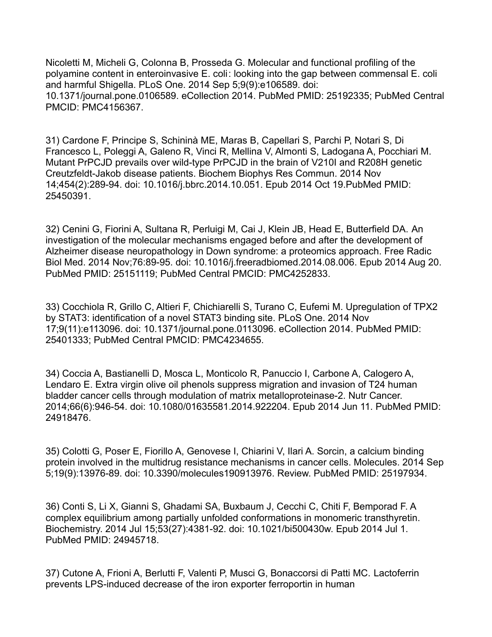Nicoletti M, Micheli G, Colonna B, Prosseda G. Molecular and functional profiling of the polyamine content in enteroinvasive E. coli: looking into the gap between commensal E. coli and harmful Shigella. PLoS One. 2014 Sep 5;9(9):e106589. doi: 10.1371/journal.pone.0106589. eCollection 2014. PubMed PMID: 25192335; PubMed Central PMCID: PMC4156367.

31) Cardone F, Principe S, Schininà ME, Maras B, Capellari S, Parchi P, Notari S, Di Francesco L, Poleggi A, Galeno R, Vinci R, Mellina V, Almonti S, Ladogana A, Pocchiari M. Mutant PrPCJD prevails over wild-type PrPCJD in the brain of V210I and R208H genetic Creutzfeldt-Jakob disease patients. Biochem Biophys Res Commun. 2014 Nov 14;454(2):289-94. doi: 10.1016/j.bbrc.2014.10.051. Epub 2014 Oct 19.PubMed PMID: 25450391.

32) Cenini G, Fiorini A, Sultana R, Perluigi M, Cai J, Klein JB, Head E, Butterfield DA. An investigation of the molecular mechanisms engaged before and after the development of Alzheimer disease neuropathology in Down syndrome: a proteomics approach. Free Radic Biol Med. 2014 Nov;76:89-95. doi: 10.1016/j.freeradbiomed.2014.08.006. Epub 2014 Aug 20. PubMed PMID: 25151119; PubMed Central PMCID: PMC4252833.

33) Cocchiola R, Grillo C, Altieri F, Chichiarelli S, Turano C, Eufemi M. Upregulation of TPX2 by STAT3: identification of a novel STAT3 binding site. PLoS One. 2014 Nov 17;9(11):e113096. doi: 10.1371/journal.pone.0113096. eCollection 2014. PubMed PMID: 25401333; PubMed Central PMCID: PMC4234655.

34) Coccia A, Bastianelli D, Mosca L, Monticolo R, Panuccio I, Carbone A, Calogero A, Lendaro E. Extra virgin olive oil phenols suppress migration and invasion of T24 human bladder cancer cells through modulation of matrix metalloproteinase-2. Nutr Cancer. 2014;66(6):946-54. doi: 10.1080/01635581.2014.922204. Epub 2014 Jun 11. PubMed PMID: 24918476.

35) Colotti G, Poser E, Fiorillo A, Genovese I, Chiarini V, Ilari A. Sorcin, a calcium binding protein involved in the multidrug resistance mechanisms in cancer cells. Molecules. 2014 Sep 5;19(9):13976-89. doi: 10.3390/molecules190913976. Review. PubMed PMID: 25197934.

36) Conti S, Li X, Gianni S, Ghadami SA, Buxbaum J, Cecchi C, Chiti F, Bemporad F. A complex equilibrium among partially unfolded conformations in monomeric transthyretin. Biochemistry. 2014 Jul 15;53(27):4381-92. doi: 10.1021/bi500430w. Epub 2014 Jul 1. PubMed PMID: 24945718.

37) Cutone A, Frioni A, Berlutti F, Valenti P, Musci G, Bonaccorsi di Patti MC. Lactoferrin prevents LPS-induced decrease of the iron exporter ferroportin in human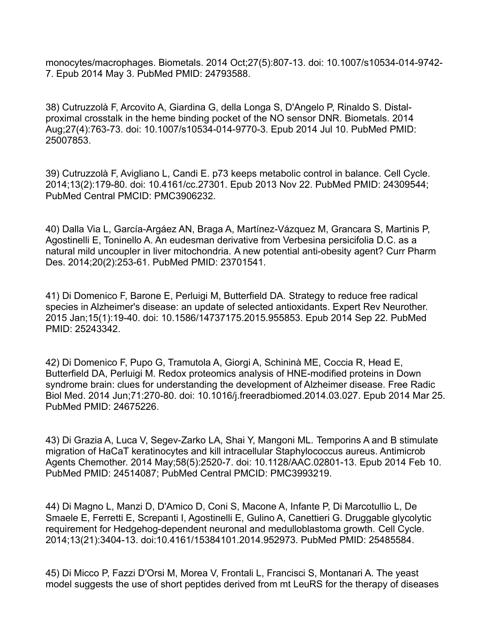monocytes/macrophages. Biometals. 2014 Oct;27(5):807-13. doi: 10.1007/s10534-014-9742- 7. Epub 2014 May 3. PubMed PMID: 24793588.

38) Cutruzzolà F, Arcovito A, Giardina G, della Longa S, D'Angelo P, Rinaldo S. Distalproximal crosstalk in the heme binding pocket of the NO sensor DNR. Biometals. 2014 Aug;27(4):763-73. doi: 10.1007/s10534-014-9770-3. Epub 2014 Jul 10. PubMed PMID: 25007853.

39) Cutruzzolà F, Avigliano L, Candi E. p73 keeps metabolic control in balance. Cell Cycle. 2014;13(2):179-80. doi: 10.4161/cc.27301. Epub 2013 Nov 22. PubMed PMID: 24309544; PubMed Central PMCID: PMC3906232.

40) Dalla Via L, García-Argáez AN, Braga A, Martínez-Vázquez M, Grancara S, Martinis P, Agostinelli E, Toninello A. An eudesman derivative from Verbesina persicifolia D.C. as a natural mild uncoupler in liver mitochondria. A new potential anti-obesity agent? Curr Pharm Des. 2014;20(2):253-61. PubMed PMID: 23701541.

41) Di Domenico F, Barone E, Perluigi M, Butterfield DA. Strategy to reduce free radical species in Alzheimer's disease: an update of selected antioxidants. Expert Rev Neurother. 2015 Jan;15(1):19-40. doi: 10.1586/14737175.2015.955853. Epub 2014 Sep 22. PubMed PMID: 25243342.

42) Di Domenico F, Pupo G, Tramutola A, Giorgi A, Schininà ME, Coccia R, Head E, Butterfield DA, Perluigi M. Redox proteomics analysis of HNE-modified proteins in Down syndrome brain: clues for understanding the development of Alzheimer disease. Free Radic Biol Med. 2014 Jun;71:270-80. doi: 10.1016/j.freeradbiomed.2014.03.027. Epub 2014 Mar 25. PubMed PMID: 24675226.

43) Di Grazia A, Luca V, Segev-Zarko LA, Shai Y, Mangoni ML. Temporins A and B stimulate migration of HaCaT keratinocytes and kill intracellular Staphylococcus aureus. Antimicrob Agents Chemother. 2014 May;58(5):2520-7. doi: 10.1128/AAC.02801-13. Epub 2014 Feb 10. PubMed PMID: 24514087; PubMed Central PMCID: PMC3993219.

44) Di Magno L, Manzi D, D'Amico D, Coni S, Macone A, Infante P, Di Marcotullio L, De Smaele E, Ferretti E, Screpanti I, Agostinelli E, Gulino A, Canettieri G. Druggable glycolytic requirement for Hedgehog-dependent neuronal and medulloblastoma growth. Cell Cycle. 2014;13(21):3404-13. doi:10.4161/15384101.2014.952973. PubMed PMID: 25485584.

45) Di Micco P, Fazzi D'Orsi M, Morea V, Frontali L, Francisci S, Montanari A. The yeast model suggests the use of short peptides derived from mt LeuRS for the therapy of diseases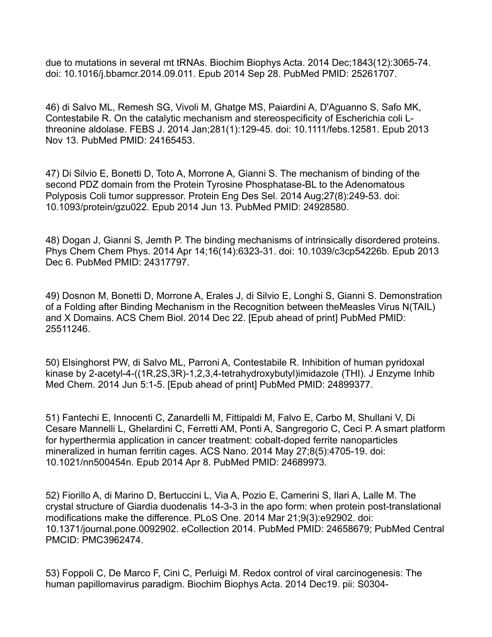due to mutations in several mt tRNAs. Biochim Biophys Acta. 2014 Dec;1843(12):3065-74. doi: 10.1016/j.bbamcr.2014.09.011. Epub 2014 Sep 28. PubMed PMID: 25261707.

46) di Salvo ML, Remesh SG, Vivoli M, Ghatge MS, Paiardini A, D'Aguanno S, Safo MK, Contestabile R. On the catalytic mechanism and stereospecificity of Escherichia coli Lthreonine aldolase. FEBS J. 2014 Jan;281(1):129-45. doi: 10.1111/febs.12581. Epub 2013 Nov 13. PubMed PMID: 24165453.

47) Di Silvio E, Bonetti D, Toto A, Morrone A, Gianni S. The mechanism of binding of the second PDZ domain from the Protein Tyrosine Phosphatase-BL to the Adenomatous Polyposis Coli tumor suppressor. Protein Eng Des Sel. 2014 Aug;27(8):249-53. doi: 10.1093/protein/gzu022. Epub 2014 Jun 13. PubMed PMID: 24928580.

48) Dogan J, Gianni S, Jemth P. The binding mechanisms of intrinsically disordered proteins. Phys Chem Chem Phys. 2014 Apr 14;16(14):6323-31. doi: 10.1039/c3cp54226b. Epub 2013 Dec 6. PubMed PMID: 24317797.

49) Dosnon M, Bonetti D, Morrone A, Erales J, di Silvio E, Longhi S, Gianni S. Demonstration of a Folding after Binding Mechanism in the Recognition between theMeasles Virus N(TAIL) and X Domains. ACS Chem Biol. 2014 Dec 22. [Epub ahead of print] PubMed PMID: 25511246.

50) Elsinghorst PW, di Salvo ML, Parroni A, Contestabile R. Inhibition of human pyridoxal kinase by 2-acetyl-4-((1R,2S,3R)-1,2,3,4-tetrahydroxybutyl)imidazole (THI). J Enzyme Inhib Med Chem. 2014 Jun 5:1-5. [Epub ahead of print] PubMed PMID: 24899377.

51) Fantechi E, Innocenti C, Zanardelli M, Fittipaldi M, Falvo E, Carbo M, Shullani V, Di Cesare Mannelli L, Ghelardini C, Ferretti AM, Ponti A, Sangregorio C, Ceci P. A smart platform for hyperthermia application in cancer treatment: cobalt-doped ferrite nanoparticles mineralized in human ferritin cages. ACS Nano. 2014 May 27;8(5):4705-19. doi: 10.1021/nn500454n. Epub 2014 Apr 8. PubMed PMID: 24689973.

52) Fiorillo A, di Marino D, Bertuccini L, Via A, Pozio E, Camerini S, Ilari A, Lalle M. The crystal structure of Giardia duodenalis 14-3-3 in the apo form: when protein post-translational modifications make the difference. PLoS One. 2014 Mar 21;9(3):e92902. doi: 10.1371/journal.pone.0092902. eCollection 2014. PubMed PMID: 24658679; PubMed Central PMCID: PMC3962474.

53) Foppoli C, De Marco F, Cini C, Perluigi M. Redox control of viral carcinogenesis: The human papillomavirus paradigm. Biochim Biophys Acta. 2014 Dec19. pii: S0304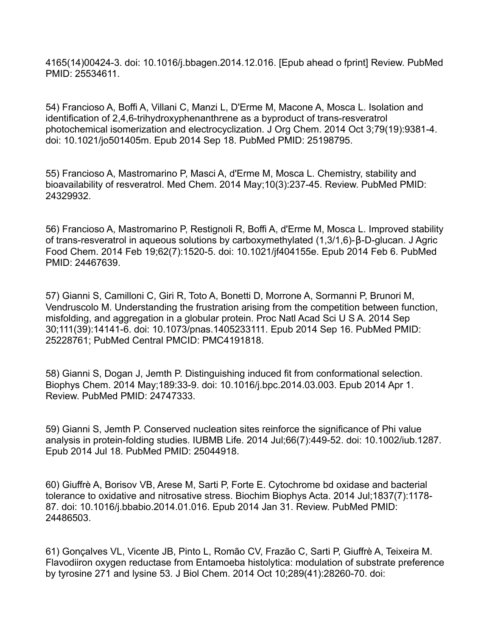4165(14)00424-3. doi: 10.1016/j.bbagen.2014.12.016. [Epub ahead o fprint] Review. PubMed PMID: 25534611.

54) Francioso A, Boffi A, Villani C, Manzi L, D'Erme M, Macone A, Mosca L. Isolation and identification of 2,4,6-trihydroxyphenanthrene as a byproduct of trans-resveratrol photochemical isomerization and electrocyclization. J Org Chem. 2014 Oct 3;79(19):9381-4. doi: 10.1021/jo501405m. Epub 2014 Sep 18. PubMed PMID: 25198795.

55) Francioso A, Mastromarino P, Masci A, d'Erme M, Mosca L. Chemistry, stability and bioavailability of resveratrol. Med Chem. 2014 May;10(3):237-45. Review. PubMed PMID: 24329932.

56) Francioso A, Mastromarino P, Restignoli R, Boffi A, d'Erme M, Mosca L. Improved stability of trans-resveratrol in aqueous solutions by carboxymethylated (1,3/1,6)-β-D-glucan. J Agric Food Chem. 2014 Feb 19;62(7):1520-5. doi: 10.1021/jf404155e. Epub 2014 Feb 6. PubMed PMID: 24467639.

57) Gianni S, Camilloni C, Giri R, Toto A, Bonetti D, Morrone A, Sormanni P, Brunori M, Vendruscolo M. Understanding the frustration arising from the competition between function, misfolding, and aggregation in a globular protein. Proc Natl Acad Sci U S A. 2014 Sep 30;111(39):14141-6. doi: 10.1073/pnas.1405233111. Epub 2014 Sep 16. PubMed PMID: 25228761; PubMed Central PMCID: PMC4191818.

58) Gianni S, Dogan J, Jemth P. Distinguishing induced fit from conformational selection. Biophys Chem. 2014 May;189:33-9. doi: 10.1016/j.bpc.2014.03.003. Epub 2014 Apr 1. Review. PubMed PMID: 24747333.

59) Gianni S, Jemth P. Conserved nucleation sites reinforce the significance of Phi value analysis in protein-folding studies. IUBMB Life. 2014 Jul;66(7):449-52. doi: 10.1002/iub.1287. Epub 2014 Jul 18. PubMed PMID: 25044918.

60) Giuffrè A, Borisov VB, Arese M, Sarti P, Forte E. Cytochrome bd oxidase and bacterial tolerance to oxidative and nitrosative stress. Biochim Biophys Acta. 2014 Jul;1837(7):1178- 87. doi: 10.1016/j.bbabio.2014.01.016. Epub 2014 Jan 31. Review. PubMed PMID: 24486503.

61) Gonçalves VL, Vicente JB, Pinto L, Romão CV, Frazão C, Sarti P, Giuffrè A, Teixeira M. Flavodiiron oxygen reductase from Entamoeba histolytica: modulation of substrate preference by tyrosine 271 and lysine 53. J Biol Chem. 2014 Oct 10;289(41):28260-70. doi: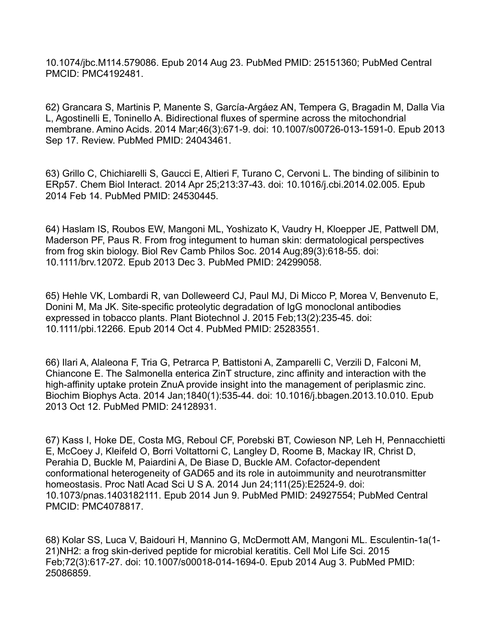10.1074/jbc.M114.579086. Epub 2014 Aug 23. PubMed PMID: 25151360; PubMed Central PMCID: PMC4192481.

62) Grancara S, Martinis P, Manente S, García-Argáez AN, Tempera G, Bragadin M, Dalla Via L, Agostinelli E, Toninello A. Bidirectional fluxes of spermine across the mitochondrial membrane. Amino Acids. 2014 Mar;46(3):671-9. doi: 10.1007/s00726-013-1591-0. Epub 2013 Sep 17. Review. PubMed PMID: 24043461.

63) Grillo C, Chichiarelli S, Gaucci E, Altieri F, Turano C, Cervoni L. The binding of silibinin to ERp57. Chem Biol Interact. 2014 Apr 25;213:37-43. doi: 10.1016/j.cbi.2014.02.005. Epub 2014 Feb 14. PubMed PMID: 24530445.

64) Haslam IS, Roubos EW, Mangoni ML, Yoshizato K, Vaudry H, Kloepper JE, Pattwell DM, Maderson PF, Paus R. From frog integument to human skin: dermatological perspectives from frog skin biology. Biol Rev Camb Philos Soc. 2014 Aug;89(3):618-55. doi: 10.1111/brv.12072. Epub 2013 Dec 3. PubMed PMID: 24299058.

65) Hehle VK, Lombardi R, van Dolleweerd CJ, Paul MJ, Di Micco P, Morea V, Benvenuto E, Donini M, Ma JK. Site-specific proteolytic degradation of IgG monoclonal antibodies expressed in tobacco plants. Plant Biotechnol J. 2015 Feb;13(2):235-45. doi: 10.1111/pbi.12266. Epub 2014 Oct 4. PubMed PMID: 25283551.

66) Ilari A, Alaleona F, Tria G, Petrarca P, Battistoni A, Zamparelli C, Verzili D, Falconi M, Chiancone E. The Salmonella enterica ZinT structure, zinc affinity and interaction with the high-affinity uptake protein ZnuA provide insight into the management of periplasmic zinc. Biochim Biophys Acta. 2014 Jan;1840(1):535-44. doi: 10.1016/j.bbagen.2013.10.010. Epub 2013 Oct 12. PubMed PMID: 24128931.

67) Kass I, Hoke DE, Costa MG, Reboul CF, Porebski BT, Cowieson NP, Leh H, Pennacchietti E, McCoey J, Kleifeld O, Borri Voltattorni C, Langley D, Roome B, Mackay IR, Christ D, Perahia D, Buckle M, Paiardini A, De Biase D, Buckle AM. Cofactor-dependent conformational heterogeneity of GAD65 and its role in autoimmunity and neurotransmitter homeostasis. Proc Natl Acad Sci U S A. 2014 Jun 24;111(25):E2524-9. doi: 10.1073/pnas.1403182111. Epub 2014 Jun 9. PubMed PMID: 24927554; PubMed Central PMCID: PMC4078817.

68) Kolar SS, Luca V, Baidouri H, Mannino G, McDermott AM, Mangoni ML. Esculentin-1a(1- 21)NH2: a frog skin-derived peptide for microbial keratitis. Cell Mol Life Sci. 2015 Feb;72(3):617-27. doi: 10.1007/s00018-014-1694-0. Epub 2014 Aug 3. PubMed PMID: 25086859.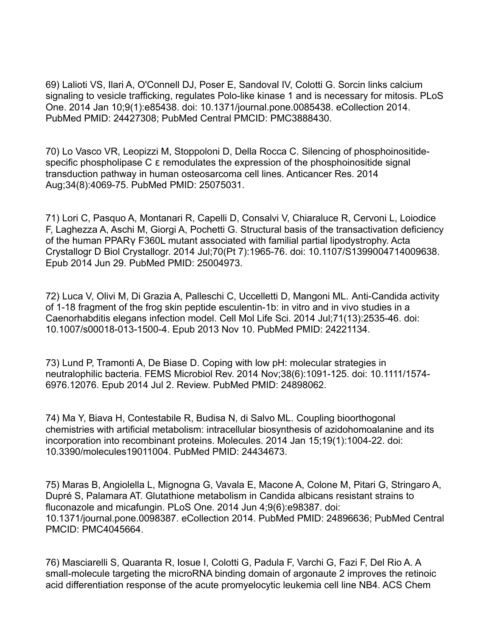69) Lalioti VS, Ilari A, O'Connell DJ, Poser E, Sandoval IV, Colotti G. Sorcin links calcium signaling to vesicle trafficking, regulates Polo-like kinase 1 and is necessary for mitosis. PLoS One. 2014 Jan 10;9(1):e85438. doi: 10.1371/journal.pone.0085438. eCollection 2014. PubMed PMID: 24427308; PubMed Central PMCID: PMC3888430.

70) Lo Vasco VR, Leopizzi M, Stoppoloni D, Della Rocca C. Silencing of phosphoinositidespecific phospholipase C ε remodulates the expression of the phosphoinositide signal transduction pathway in human osteosarcoma cell lines. Anticancer Res. 2014 Aug;34(8):4069-75. PubMed PMID: 25075031.

71) Lori C, Pasquo A, Montanari R, Capelli D, Consalvi V, Chiaraluce R, Cervoni L, Loiodice F, Laghezza A, Aschi M, Giorgi A, Pochetti G. Structural basis of the transactivation deficiency of the human PPARγ F360L mutant associated with familial partial lipodystrophy. Acta Crystallogr D Biol Crystallogr. 2014 Jul;70(Pt 7):1965-76. doi: 10.1107/S1399004714009638. Epub 2014 Jun 29. PubMed PMID: 25004973.

72) Luca V, Olivi M, Di Grazia A, Palleschi C, Uccelletti D, Mangoni ML. Anti-Candida activity of 1-18 fragment of the frog skin peptide esculentin-1b: in vitro and in vivo studies in a Caenorhabditis elegans infection model. Cell Mol Life Sci. 2014 Jul;71(13):2535-46. doi: 10.1007/s00018-013-1500-4. Epub 2013 Nov 10. PubMed PMID: 24221134.

73) Lund P, Tramonti A, De Biase D. Coping with low pH: molecular strategies in neutralophilic bacteria. FEMS Microbiol Rev. 2014 Nov;38(6):1091-125. doi: 10.1111/1574- 6976.12076. Epub 2014 Jul 2. Review. PubMed PMID: 24898062.

74) Ma Y, Biava H, Contestabile R, Budisa N, di Salvo ML. Coupling bioorthogonal chemistries with artificial metabolism: intracellular biosynthesis of azidohomoalanine and its incorporation into recombinant proteins. Molecules. 2014 Jan 15;19(1):1004-22. doi: 10.3390/molecules19011004. PubMed PMID: 24434673.

75) Maras B, Angiolella L, Mignogna G, Vavala E, Macone A, Colone M, Pitari G, Stringaro A, Dupré S, Palamara AT. Glutathione metabolism in Candida albicans resistant strains to fluconazole and micafungin. PLoS One. 2014 Jun 4;9(6):e98387. doi: 10.1371/journal.pone.0098387. eCollection 2014. PubMed PMID: 24896636; PubMed Central PMCID: PMC4045664.

76) Masciarelli S, Quaranta R, Iosue I, Colotti G, Padula F, Varchi G, Fazi F, Del Rio A. A small-molecule targeting the microRNA binding domain of argonaute 2 improves the retinoic acid differentiation response of the acute promyelocytic leukemia cell line NB4. ACS Chem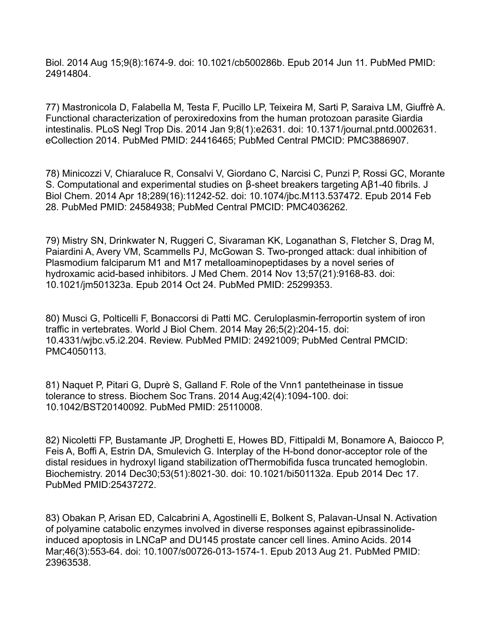Biol. 2014 Aug 15;9(8):1674-9. doi: 10.1021/cb500286b. Epub 2014 Jun 11. PubMed PMID: 24914804.

77) Mastronicola D, Falabella M, Testa F, Pucillo LP, Teixeira M, Sarti P, Saraiva LM, Giuffrè A. Functional characterization of peroxiredoxins from the human protozoan parasite Giardia intestinalis. PLoS Negl Trop Dis. 2014 Jan 9;8(1):e2631. doi: 10.1371/journal.pntd.0002631. eCollection 2014. PubMed PMID: 24416465; PubMed Central PMCID: PMC3886907.

78) Minicozzi V, Chiaraluce R, Consalvi V, Giordano C, Narcisi C, Punzi P, Rossi GC, Morante S. Computational and experimental studies on β-sheet breakers targeting Aβ1-40 fibrils. J Biol Chem. 2014 Apr 18;289(16):11242-52. doi: 10.1074/jbc.M113.537472. Epub 2014 Feb 28. PubMed PMID: 24584938; PubMed Central PMCID: PMC4036262.

79) Mistry SN, Drinkwater N, Ruggeri C, Sivaraman KK, Loganathan S, Fletcher S, Drag M, Paiardini A, Avery VM, Scammells PJ, McGowan S. Two-pronged attack: dual inhibition of Plasmodium falciparum M1 and M17 metalloaminopeptidases by a novel series of hydroxamic acid-based inhibitors. J Med Chem. 2014 Nov 13;57(21):9168-83. doi: 10.1021/jm501323a. Epub 2014 Oct 24. PubMed PMID: 25299353.

80) Musci G, Polticelli F, Bonaccorsi di Patti MC. Ceruloplasmin-ferroportin system of iron traffic in vertebrates. World J Biol Chem. 2014 May 26;5(2):204-15. doi: 10.4331/wjbc.v5.i2.204. Review. PubMed PMID: 24921009; PubMed Central PMCID: PMC4050113.

81) Naquet P, Pitari G, Duprè S, Galland F. Role of the Vnn1 pantetheinase in tissue tolerance to stress. Biochem Soc Trans. 2014 Aug;42(4):1094-100. doi: 10.1042/BST20140092. PubMed PMID: 25110008.

82) Nicoletti FP, Bustamante JP, Droghetti E, Howes BD, Fittipaldi M, Bonamore A, Baiocco P, Feis A, Boffi A, Estrin DA, Smulevich G. Interplay of the H-bond donor-acceptor role of the distal residues in hydroxyl ligand stabilization ofThermobifida fusca truncated hemoglobin. Biochemistry. 2014 Dec30;53(51):8021-30. doi: 10.1021/bi501132a. Epub 2014 Dec 17. PubMed PMID:25437272.

83) Obakan P, Arisan ED, Calcabrini A, Agostinelli E, Bolkent S, Palavan-Unsal N. Activation of polyamine catabolic enzymes involved in diverse responses against epibrassinolideinduced apoptosis in LNCaP and DU145 prostate cancer cell lines. Amino Acids. 2014 Mar;46(3):553-64. doi: 10.1007/s00726-013-1574-1. Epub 2013 Aug 21. PubMed PMID: 23963538.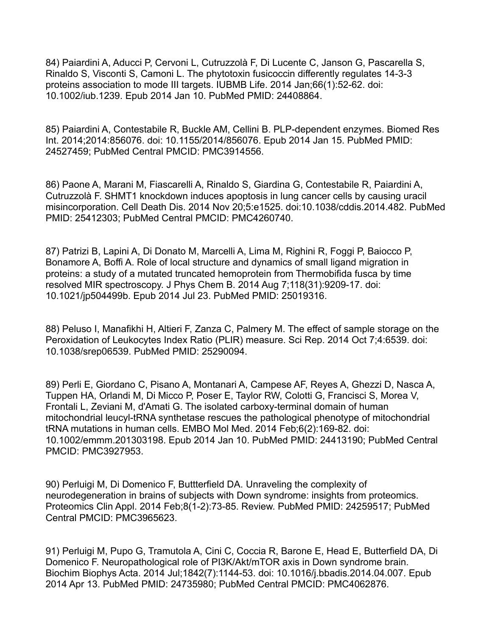84) Paiardini A, Aducci P, Cervoni L, Cutruzzolà F, Di Lucente C, Janson G, Pascarella S, Rinaldo S, Visconti S, Camoni L. The phytotoxin fusicoccin differently regulates 14-3-3 proteins association to mode III targets. IUBMB Life. 2014 Jan;66(1):52-62. doi: 10.1002/iub.1239. Epub 2014 Jan 10. PubMed PMID: 24408864.

85) Paiardini A, Contestabile R, Buckle AM, Cellini B. PLP-dependent enzymes. Biomed Res Int. 2014;2014:856076. doi: 10.1155/2014/856076. Epub 2014 Jan 15. PubMed PMID: 24527459; PubMed Central PMCID: PMC3914556.

86) Paone A, Marani M, Fiascarelli A, Rinaldo S, Giardina G, Contestabile R, Paiardini A, Cutruzzolà F. SHMT1 knockdown induces apoptosis in lung cancer cells by causing uracil misincorporation. Cell Death Dis. 2014 Nov 20;5:e1525. doi:10.1038/cddis.2014.482. PubMed PMID: 25412303; PubMed Central PMCID: PMC4260740.

87) Patrizi B, Lapini A, Di Donato M, Marcelli A, Lima M, Righini R, Foggi P, Baiocco P, Bonamore A, Boffi A. Role of local structure and dynamics of small ligand migration in proteins: a study of a mutated truncated hemoprotein from Thermobifida fusca by time resolved MIR spectroscopy. J Phys Chem B. 2014 Aug 7;118(31):9209-17. doi: 10.1021/jp504499b. Epub 2014 Jul 23. PubMed PMID: 25019316.

88) Peluso I, Manafikhi H, Altieri F, Zanza C, Palmery M. The effect of sample storage on the Peroxidation of Leukocytes Index Ratio (PLIR) measure. Sci Rep. 2014 Oct 7;4:6539. doi: 10.1038/srep06539. PubMed PMID: 25290094.

89) Perli E, Giordano C, Pisano A, Montanari A, Campese AF, Reyes A, Ghezzi D, Nasca A, Tuppen HA, Orlandi M, Di Micco P, Poser E, Taylor RW, Colotti G, Francisci S, Morea V, Frontali L, Zeviani M, d'Amati G. The isolated carboxy-terminal domain of human mitochondrial leucyl-tRNA synthetase rescues the pathological phenotype of mitochondrial tRNA mutations in human cells. EMBO Mol Med. 2014 Feb;6(2):169-82. doi: 10.1002/emmm.201303198. Epub 2014 Jan 10. PubMed PMID: 24413190; PubMed Central PMCID: PMC3927953.

90) Perluigi M, Di Domenico F, Buttterfield DA. Unraveling the complexity of neurodegeneration in brains of subjects with Down syndrome: insights from proteomics. Proteomics Clin Appl. 2014 Feb;8(1-2):73-85. Review. PubMed PMID: 24259517; PubMed Central PMCID: PMC3965623.

91) Perluigi M, Pupo G, Tramutola A, Cini C, Coccia R, Barone E, Head E, Butterfield DA, Di Domenico F. Neuropathological role of PI3K/Akt/mTOR axis in Down syndrome brain. Biochim Biophys Acta. 2014 Jul;1842(7):1144-53. doi: 10.1016/j.bbadis.2014.04.007. Epub 2014 Apr 13. PubMed PMID: 24735980; PubMed Central PMCID: PMC4062876.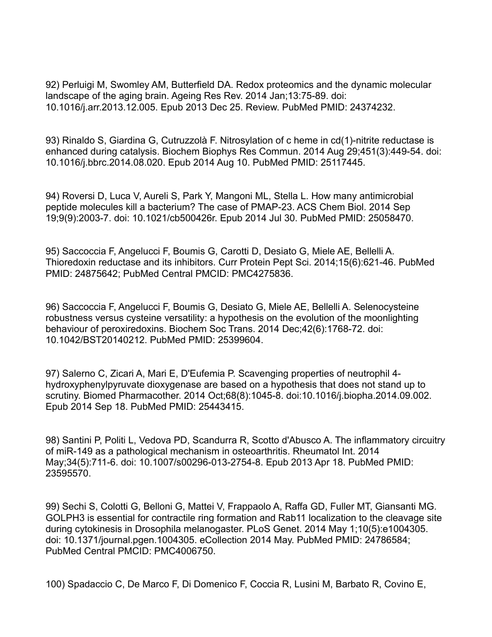92) Perluigi M, Swomley AM, Butterfield DA. Redox proteomics and the dynamic molecular landscape of the aging brain. Ageing Res Rev. 2014 Jan;13:75-89. doi: 10.1016/j.arr.2013.12.005. Epub 2013 Dec 25. Review. PubMed PMID: 24374232.

93) Rinaldo S, Giardina G, Cutruzzolà F. Nitrosylation of c heme in cd(1)-nitrite reductase is enhanced during catalysis. Biochem Biophys Res Commun. 2014 Aug 29;451(3):449-54. doi: 10.1016/j.bbrc.2014.08.020. Epub 2014 Aug 10. PubMed PMID: 25117445.

94) Roversi D, Luca V, Aureli S, Park Y, Mangoni ML, Stella L. How many antimicrobial peptide molecules kill a bacterium? The case of PMAP-23. ACS Chem Biol. 2014 Sep 19;9(9):2003-7. doi: 10.1021/cb500426r. Epub 2014 Jul 30. PubMed PMID: 25058470.

95) Saccoccia F, Angelucci F, Boumis G, Carotti D, Desiato G, Miele AE, Bellelli A. Thioredoxin reductase and its inhibitors. Curr Protein Pept Sci. 2014;15(6):621-46. PubMed PMID: 24875642; PubMed Central PMCID: PMC4275836.

96) Saccoccia F, Angelucci F, Boumis G, Desiato G, Miele AE, Bellelli A. Selenocysteine robustness versus cysteine versatility: a hypothesis on the evolution of the moonlighting behaviour of peroxiredoxins. Biochem Soc Trans. 2014 Dec;42(6):1768-72. doi: 10.1042/BST20140212. PubMed PMID: 25399604.

97) Salerno C, Zicari A, Mari E, D'Eufemia P. Scavenging properties of neutrophil 4 hydroxyphenylpyruvate dioxygenase are based on a hypothesis that does not stand up to scrutiny. Biomed Pharmacother. 2014 Oct;68(8):1045-8. doi:10.1016/j.biopha.2014.09.002. Epub 2014 Sep 18. PubMed PMID: 25443415.

98) Santini P, Politi L, Vedova PD, Scandurra R, Scotto d'Abusco A. The inflammatory circuitry of miR-149 as a pathological mechanism in osteoarthritis. Rheumatol Int. 2014 May;34(5):711-6. doi: 10.1007/s00296-013-2754-8. Epub 2013 Apr 18. PubMed PMID: 23595570.

99) Sechi S, Colotti G, Belloni G, Mattei V, Frappaolo A, Raffa GD, Fuller MT, Giansanti MG. GOLPH3 is essential for contractile ring formation and Rab11 localization to the cleavage site during cytokinesis in Drosophila melanogaster. PLoS Genet. 2014 May 1;10(5):e1004305. doi: 10.1371/journal.pgen.1004305. eCollection 2014 May. PubMed PMID: 24786584; PubMed Central PMCID: PMC4006750.

100) Spadaccio C, De Marco F, Di Domenico F, Coccia R, Lusini M, Barbato R, Covino E,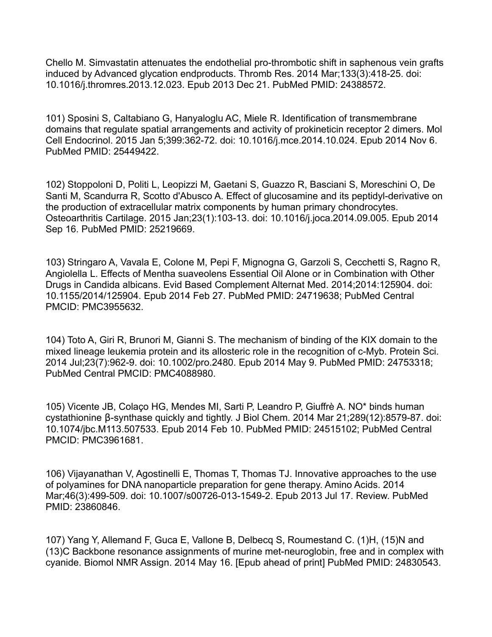Chello M. Simvastatin attenuates the endothelial pro-thrombotic shift in saphenous vein grafts induced by Advanced glycation endproducts. Thromb Res. 2014 Mar;133(3):418-25. doi: 10.1016/j.thromres.2013.12.023. Epub 2013 Dec 21. PubMed PMID: 24388572.

101) Sposini S, Caltabiano G, Hanyaloglu AC, Miele R. Identification of transmembrane domains that regulate spatial arrangements and activity of prokineticin receptor 2 dimers. Mol Cell Endocrinol. 2015 Jan 5;399:362-72. doi: 10.1016/j.mce.2014.10.024. Epub 2014 Nov 6. PubMed PMID: 25449422.

102) Stoppoloni D, Politi L, Leopizzi M, Gaetani S, Guazzo R, Basciani S, Moreschini O, De Santi M, Scandurra R, Scotto d'Abusco A. Effect of glucosamine and its peptidyl-derivative on the production of extracellular matrix components by human primary chondrocytes. Osteoarthritis Cartilage. 2015 Jan;23(1):103-13. doi: 10.1016/j.joca.2014.09.005. Epub 2014 Sep 16. PubMed PMID: 25219669.

103) Stringaro A, Vavala E, Colone M, Pepi F, Mignogna G, Garzoli S, Cecchetti S, Ragno R, Angiolella L. Effects of Mentha suaveolens Essential Oil Alone or in Combination with Other Drugs in Candida albicans. Evid Based Complement Alternat Med. 2014;2014:125904. doi: 10.1155/2014/125904. Epub 2014 Feb 27. PubMed PMID: 24719638; PubMed Central PMCID: PMC3955632.

104) Toto A, Giri R, Brunori M, Gianni S. The mechanism of binding of the KIX domain to the mixed lineage leukemia protein and its allosteric role in the recognition of c-Myb. Protein Sci. 2014 Jul;23(7):962-9. doi: 10.1002/pro.2480. Epub 2014 May 9. PubMed PMID: 24753318; PubMed Central PMCID: PMC4088980.

105) Vicente JB, Colaço HG, Mendes MI, Sarti P, Leandro P, Giuffrè A. NO\* binds human cystathionine β-synthase quickly and tightly. J Biol Chem. 2014 Mar 21;289(12):8579-87. doi: 10.1074/jbc.M113.507533. Epub 2014 Feb 10. PubMed PMID: 24515102; PubMed Central PMCID: PMC3961681.

106) Vijayanathan V, Agostinelli E, Thomas T, Thomas TJ. Innovative approaches to the use of polyamines for DNA nanoparticle preparation for gene therapy. Amino Acids. 2014 Mar;46(3):499-509. doi: 10.1007/s00726-013-1549-2. Epub 2013 Jul 17. Review. PubMed PMID: 23860846.

107) Yang Y, Allemand F, Guca E, Vallone B, Delbecq S, Roumestand C. (1)H, (15)N and (13)C Backbone resonance assignments of murine met-neuroglobin, free and in complex with cyanide. Biomol NMR Assign. 2014 May 16. [Epub ahead of print] PubMed PMID: 24830543.